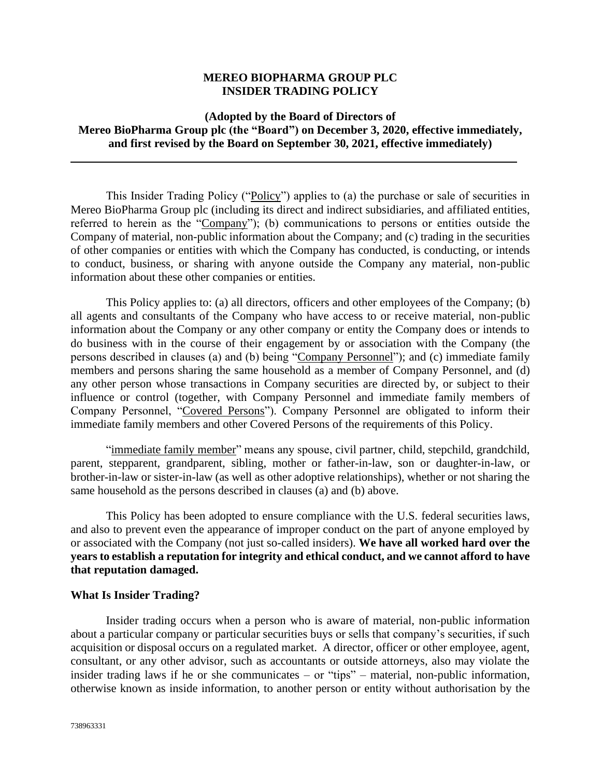## **MEREO BIOPHARMA GROUP PLC INSIDER TRADING POLICY**

# **(Adopted by the Board of Directors of Mereo BioPharma Group plc (the "Board") on December 3, 2020, effective immediately, and first revised by the Board on September 30, 2021, effective immediately)**

This Insider Trading Policy ("Policy") applies to (a) the purchase or sale of securities in Mereo BioPharma Group plc (including its direct and indirect subsidiaries, and affiliated entities, referred to herein as the "Company"); (b) communications to persons or entities outside the Company of material, non-public information about the Company; and (c) trading in the securities of other companies or entities with which the Company has conducted, is conducting, or intends to conduct, business, or sharing with anyone outside the Company any material, non-public information about these other companies or entities.

This Policy applies to: (a) all directors, officers and other employees of the Company; (b) all agents and consultants of the Company who have access to or receive material, non-public information about the Company or any other company or entity the Company does or intends to do business with in the course of their engagement by or association with the Company (the persons described in clauses (a) and (b) being "Company Personnel"); and (c) immediate family members and persons sharing the same household as a member of Company Personnel, and (d) any other person whose transactions in Company securities are directed by, or subject to their influence or control (together, with Company Personnel and immediate family members of Company Personnel, "Covered Persons"). Company Personnel are obligated to inform their immediate family members and other Covered Persons of the requirements of this Policy.

"immediate family member" means any spouse, civil partner, child, stepchild, grandchild, parent, stepparent, grandparent, sibling, mother or father-in-law, son or daughter-in-law, or brother-in-law or sister-in-law (as well as other adoptive relationships), whether or not sharing the same household as the persons described in clauses (a) and (b) above.

This Policy has been adopted to ensure compliance with the U.S. federal securities laws, and also to prevent even the appearance of improper conduct on the part of anyone employed by or associated with the Company (not just so-called insiders). **We have all worked hard over the years to establish a reputation for integrity and ethical conduct, and we cannot afford to have that reputation damaged.**

### **What Is Insider Trading?**

Insider trading occurs when a person who is aware of material, non-public information about a particular company or particular securities buys or sells that company's securities, if such acquisition or disposal occurs on a regulated market. A director, officer or other employee, agent, consultant, or any other advisor, such as accountants or outside attorneys, also may violate the insider trading laws if he or she communicates – or "tips" – material, non-public information, otherwise known as inside information, to another person or entity without authorisation by the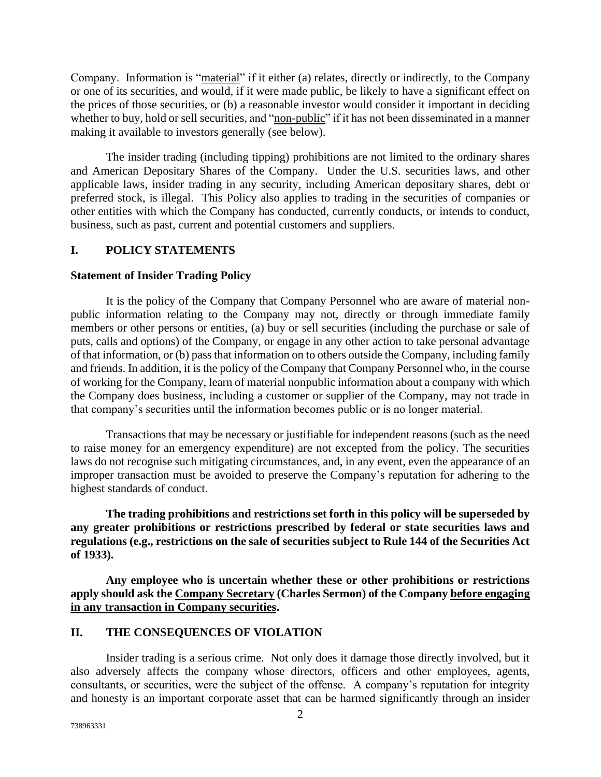Company. Information is "material" if it either (a) relates, directly or indirectly, to the Company or one of its securities, and would, if it were made public, be likely to have a significant effect on the prices of those securities, or (b) a reasonable investor would consider it important in deciding whether to buy, hold or sell securities, and "non-public" if it has not been disseminated in a manner making it available to investors generally (see below).

The insider trading (including tipping) prohibitions are not limited to the ordinary shares and American Depositary Shares of the Company. Under the U.S. securities laws, and other applicable laws, insider trading in any security, including American depositary shares, debt or preferred stock, is illegal. This Policy also applies to trading in the securities of companies or other entities with which the Company has conducted, currently conducts, or intends to conduct, business, such as past, current and potential customers and suppliers.

## **I. POLICY STATEMENTS**

### **Statement of Insider Trading Policy**

It is the policy of the Company that Company Personnel who are aware of material nonpublic information relating to the Company may not, directly or through immediate family members or other persons or entities, (a) buy or sell securities (including the purchase or sale of puts, calls and options) of the Company, or engage in any other action to take personal advantage of that information, or (b) pass that information on to others outside the Company, including family and friends. In addition, it is the policy of the Company that Company Personnel who, in the course of working for the Company, learn of material nonpublic information about a company with which the Company does business, including a customer or supplier of the Company, may not trade in that company's securities until the information becomes public or is no longer material.

Transactions that may be necessary or justifiable for independent reasons (such as the need to raise money for an emergency expenditure) are not excepted from the policy. The securities laws do not recognise such mitigating circumstances, and, in any event, even the appearance of an improper transaction must be avoided to preserve the Company's reputation for adhering to the highest standards of conduct.

**The trading prohibitions and restrictions set forth in this policy will be superseded by any greater prohibitions or restrictions prescribed by federal or state securities laws and regulations (e.g., restrictions on the sale of securities subject to Rule 144 of the Securities Act of 1933).** 

**Any employee who is uncertain whether these or other prohibitions or restrictions apply should ask the Company Secretary (Charles Sermon) of the Company before engaging in any transaction in Company securities.**

## **II. THE CONSEQUENCES OF VIOLATION**

Insider trading is a serious crime. Not only does it damage those directly involved, but it also adversely affects the company whose directors, officers and other employees, agents, consultants, or securities, were the subject of the offense. A company's reputation for integrity and honesty is an important corporate asset that can be harmed significantly through an insider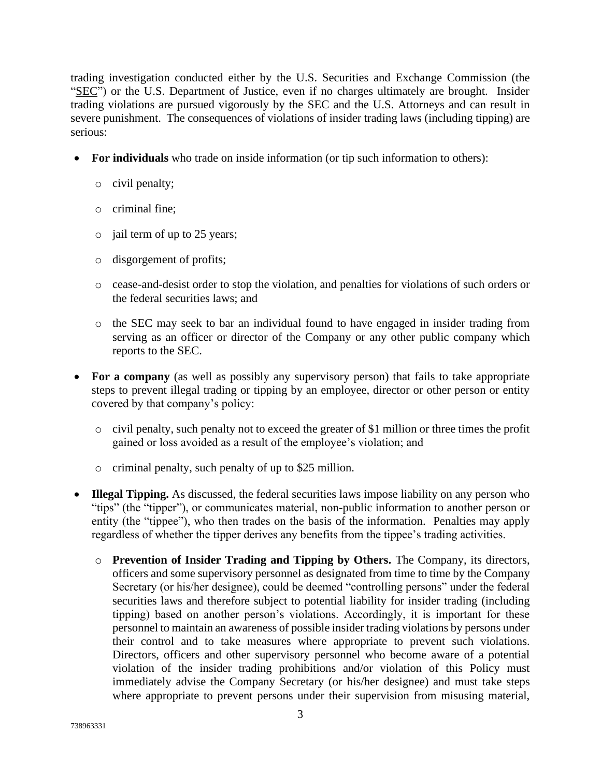trading investigation conducted either by the U.S. Securities and Exchange Commission (the "SEC") or the U.S. Department of Justice, even if no charges ultimately are brought. Insider trading violations are pursued vigorously by the SEC and the U.S. Attorneys and can result in severe punishment. The consequences of violations of insider trading laws (including tipping) are serious:

- For individuals who trade on inside information (or tip such information to others):
	- o civil penalty;
	- o criminal fine;
	- o jail term of up to 25 years;
	- o disgorgement of profits;
	- o cease-and-desist order to stop the violation, and penalties for violations of such orders or the federal securities laws; and
	- o the SEC may seek to bar an individual found to have engaged in insider trading from serving as an officer or director of the Company or any other public company which reports to the SEC.
- **For a company** (as well as possibly any supervisory person) that fails to take appropriate steps to prevent illegal trading or tipping by an employee, director or other person or entity covered by that company's policy:
	- $\circ$  civil penalty, such penalty not to exceed the greater of \$1 million or three times the profit gained or loss avoided as a result of the employee's violation; and
	- o criminal penalty, such penalty of up to \$25 million.
- **Illegal Tipping.** As discussed, the federal securities laws impose liability on any person who "tips" (the "tipper"), or communicates material, non-public information to another person or entity (the "tippee"), who then trades on the basis of the information. Penalties may apply regardless of whether the tipper derives any benefits from the tippee's trading activities.
	- o **Prevention of Insider Trading and Tipping by Others.** The Company, its directors, officers and some supervisory personnel as designated from time to time by the Company Secretary (or his/her designee), could be deemed "controlling persons" under the federal securities laws and therefore subject to potential liability for insider trading (including tipping) based on another person's violations. Accordingly, it is important for these personnel to maintain an awareness of possible insider trading violations by persons under their control and to take measures where appropriate to prevent such violations. Directors, officers and other supervisory personnel who become aware of a potential violation of the insider trading prohibitions and/or violation of this Policy must immediately advise the Company Secretary (or his/her designee) and must take steps where appropriate to prevent persons under their supervision from misusing material,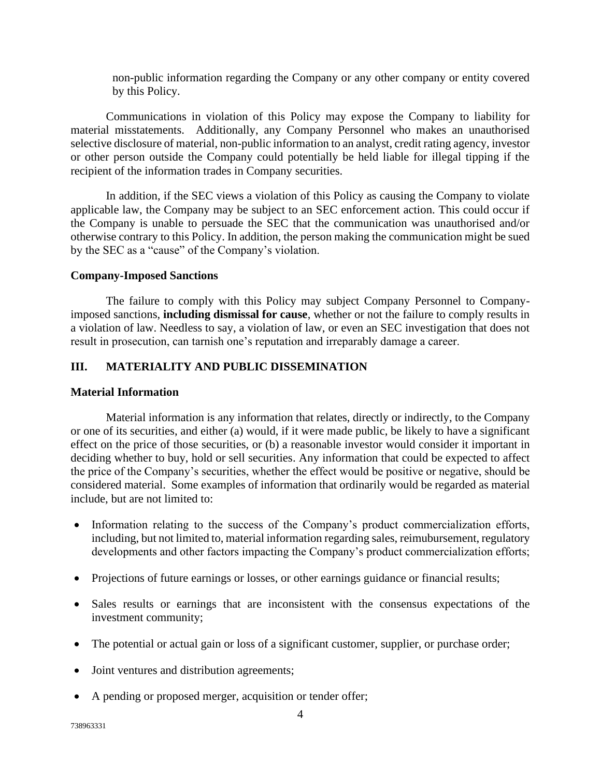non-public information regarding the Company or any other company or entity covered by this Policy.

Communications in violation of this Policy may expose the Company to liability for material misstatements. Additionally, any Company Personnel who makes an unauthorised selective disclosure of material, non-public information to an analyst, credit rating agency, investor or other person outside the Company could potentially be held liable for illegal tipping if the recipient of the information trades in Company securities.

In addition, if the SEC views a violation of this Policy as causing the Company to violate applicable law, the Company may be subject to an SEC enforcement action. This could occur if the Company is unable to persuade the SEC that the communication was unauthorised and/or otherwise contrary to this Policy. In addition, the person making the communication might be sued by the SEC as a "cause" of the Company's violation.

## **Company-Imposed Sanctions**

The failure to comply with this Policy may subject Company Personnel to Companyimposed sanctions, **including dismissal for cause**, whether or not the failure to comply results in a violation of law. Needless to say, a violation of law, or even an SEC investigation that does not result in prosecution, can tarnish one's reputation and irreparably damage a career.

# **III. MATERIALITY AND PUBLIC DISSEMINATION**

## **Material Information**

Material information is any information that relates, directly or indirectly, to the Company or one of its securities, and either (a) would, if it were made public, be likely to have a significant effect on the price of those securities, or (b) a reasonable investor would consider it important in deciding whether to buy, hold or sell securities. Any information that could be expected to affect the price of the Company's securities, whether the effect would be positive or negative, should be considered material. Some examples of information that ordinarily would be regarded as material include, but are not limited to:

- Information relating to the success of the Company's product commercialization efforts, including, but not limited to, material information regarding sales, reimubursement, regulatory developments and other factors impacting the Company's product commercialization efforts;
- Projections of future earnings or losses, or other earnings guidance or financial results;
- Sales results or earnings that are inconsistent with the consensus expectations of the investment community;
- The potential or actual gain or loss of a significant customer, supplier, or purchase order;
- Joint ventures and distribution agreements;
- A pending or proposed merger, acquisition or tender offer;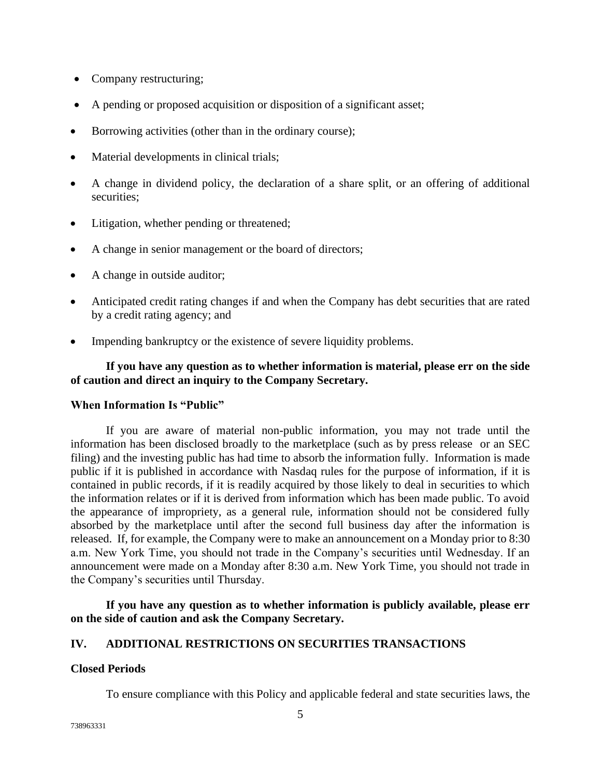- Company restructuring;
- A pending or proposed acquisition or disposition of a significant asset;
- Borrowing activities (other than in the ordinary course);
- Material developments in clinical trials;
- A change in dividend policy, the declaration of a share split, or an offering of additional securities;
- Litigation, whether pending or threatened;
- A change in senior management or the board of directors;
- A change in outside auditor;
- Anticipated credit rating changes if and when the Company has debt securities that are rated by a credit rating agency; and
- Impending bankruptcy or the existence of severe liquidity problems.

## **If you have any question as to whether information is material, please err on the side of caution and direct an inquiry to the Company Secretary.**

## **When Information Is "Public"**

If you are aware of material non-public information, you may not trade until the information has been disclosed broadly to the marketplace (such as by press release or an SEC filing) and the investing public has had time to absorb the information fully. Information is made public if it is published in accordance with Nasdaq rules for the purpose of information, if it is contained in public records, if it is readily acquired by those likely to deal in securities to which the information relates or if it is derived from information which has been made public. To avoid the appearance of impropriety, as a general rule, information should not be considered fully absorbed by the marketplace until after the second full business day after the information is released. If, for example, the Company were to make an announcement on a Monday prior to 8:30 a.m. New York Time, you should not trade in the Company's securities until Wednesday. If an announcement were made on a Monday after 8:30 a.m. New York Time, you should not trade in the Company's securities until Thursday.

**If you have any question as to whether information is publicly available, please err on the side of caution and ask the Company Secretary.**

## **IV. ADDITIONAL RESTRICTIONS ON SECURITIES TRANSACTIONS**

#### **Closed Periods**

To ensure compliance with this Policy and applicable federal and state securities laws, the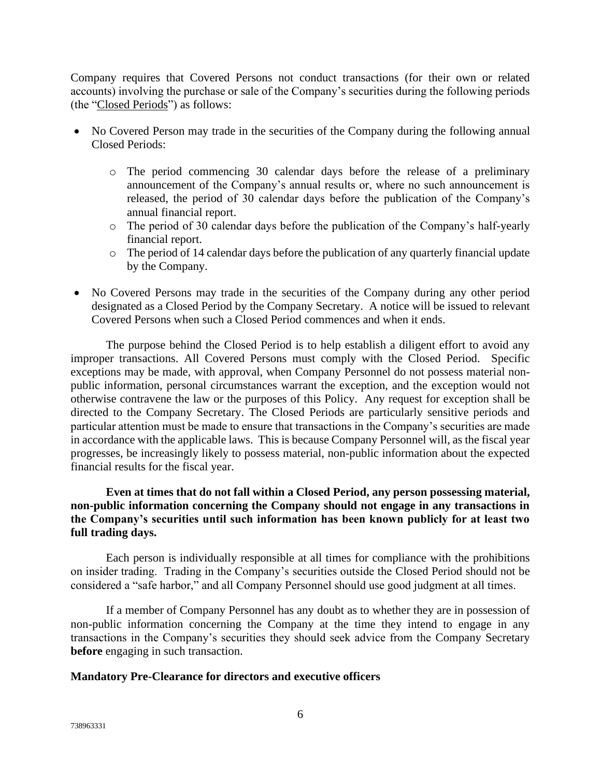Company requires that Covered Persons not conduct transactions (for their own or related accounts) involving the purchase or sale of the Company's securities during the following periods (the "Closed Periods") as follows:

- No Covered Person may trade in the securities of the Company during the following annual Closed Periods:
	- o The period commencing 30 calendar days before the release of a preliminary announcement of the Company's annual results or, where no such announcement is released, the period of 30 calendar days before the publication of the Company's annual financial report.
	- o The period of 30 calendar days before the publication of the Company's half-yearly financial report.
	- o The period of 14 calendar days before the publication of any quarterly financial update by the Company.
- No Covered Persons may trade in the securities of the Company during any other period designated as a Closed Period by the Company Secretary. A notice will be issued to relevant Covered Persons when such a Closed Period commences and when it ends.

The purpose behind the Closed Period is to help establish a diligent effort to avoid any improper transactions. All Covered Persons must comply with the Closed Period. Specific exceptions may be made, with approval, when Company Personnel do not possess material nonpublic information, personal circumstances warrant the exception, and the exception would not otherwise contravene the law or the purposes of this Policy. Any request for exception shall be directed to the Company Secretary. The Closed Periods are particularly sensitive periods and particular attention must be made to ensure that transactions in the Company's securities are made in accordance with the applicable laws. This is because Company Personnel will, as the fiscal year progresses, be increasingly likely to possess material, non-public information about the expected financial results for the fiscal year.

# **Even at times that do not fall within a Closed Period, any person possessing material, non-public information concerning the Company should not engage in any transactions in the Company's securities until such information has been known publicly for at least two full trading days.**

Each person is individually responsible at all times for compliance with the prohibitions on insider trading. Trading in the Company's securities outside the Closed Period should not be considered a "safe harbor," and all Company Personnel should use good judgment at all times.

If a member of Company Personnel has any doubt as to whether they are in possession of non-public information concerning the Company at the time they intend to engage in any transactions in the Company's securities they should seek advice from the Company Secretary **before** engaging in such transaction.

## **Mandatory Pre-Clearance for directors and executive officers**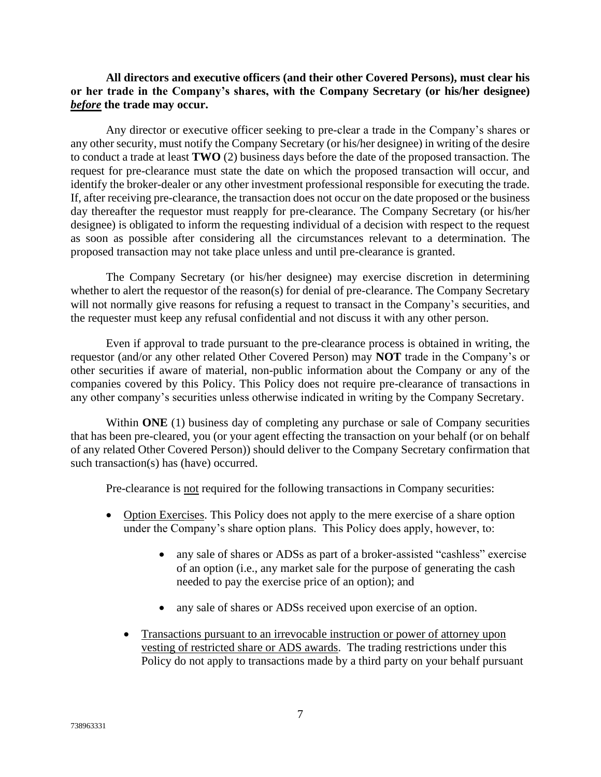## **All directors and executive officers (and their other Covered Persons), must clear his or her trade in the Company's shares, with the Company Secretary (or his/her designee)**  *before* **the trade may occur.**

Any director or executive officer seeking to pre-clear a trade in the Company's shares or any other security, must notify the Company Secretary (or his/her designee) in writing of the desire to conduct a trade at least **TWO** (2) business days before the date of the proposed transaction. The request for pre-clearance must state the date on which the proposed transaction will occur, and identify the broker-dealer or any other investment professional responsible for executing the trade. If, after receiving pre-clearance, the transaction does not occur on the date proposed or the business day thereafter the requestor must reapply for pre-clearance. The Company Secretary (or his/her designee) is obligated to inform the requesting individual of a decision with respect to the request as soon as possible after considering all the circumstances relevant to a determination. The proposed transaction may not take place unless and until pre-clearance is granted.

The Company Secretary (or his/her designee) may exercise discretion in determining whether to alert the requestor of the reason(s) for denial of pre-clearance. The Company Secretary will not normally give reasons for refusing a request to transact in the Company's securities, and the requester must keep any refusal confidential and not discuss it with any other person.

Even if approval to trade pursuant to the pre-clearance process is obtained in writing, the requestor (and/or any other related Other Covered Person) may **NOT** trade in the Company's or other securities if aware of material, non-public information about the Company or any of the companies covered by this Policy. This Policy does not require pre-clearance of transactions in any other company's securities unless otherwise indicated in writing by the Company Secretary.

Within **ONE** (1) business day of completing any purchase or sale of Company securities that has been pre-cleared, you (or your agent effecting the transaction on your behalf (or on behalf of any related Other Covered Person)) should deliver to the Company Secretary confirmation that such transaction(s) has (have) occurred.

Pre-clearance is not required for the following transactions in Company securities:

- Option Exercises. This Policy does not apply to the mere exercise of a share option under the Company's share option plans. This Policy does apply, however, to:
	- any sale of shares or ADSs as part of a broker-assisted "cashless" exercise of an option (i.e., any market sale for the purpose of generating the cash needed to pay the exercise price of an option); and
	- any sale of shares or ADSs received upon exercise of an option.
	- Transactions pursuant to an irrevocable instruction or power of attorney upon vesting of restricted share or ADS awards. The trading restrictions under this Policy do not apply to transactions made by a third party on your behalf pursuant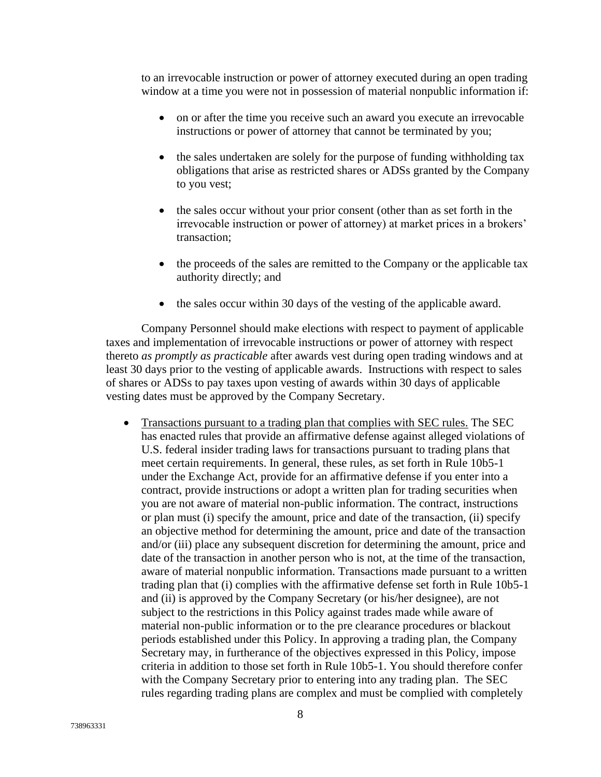to an irrevocable instruction or power of attorney executed during an open trading window at a time you were not in possession of material nonpublic information if:

- on or after the time you receive such an award you execute an irrevocable instructions or power of attorney that cannot be terminated by you;
- the sales undertaken are solely for the purpose of funding withholding tax obligations that arise as restricted shares or ADSs granted by the Company to you vest;
- the sales occur without your prior consent (other than as set forth in the irrevocable instruction or power of attorney) at market prices in a brokers' transaction;
- the proceeds of the sales are remitted to the Company or the applicable tax authority directly; and
- the sales occur within 30 days of the vesting of the applicable award.

Company Personnel should make elections with respect to payment of applicable taxes and implementation of irrevocable instructions or power of attorney with respect thereto *as promptly as practicable* after awards vest during open trading windows and at least 30 days prior to the vesting of applicable awards. Instructions with respect to sales of shares or ADSs to pay taxes upon vesting of awards within 30 days of applicable vesting dates must be approved by the Company Secretary.

• Transactions pursuant to a trading plan that complies with SEC rules. The SEC has enacted rules that provide an affirmative defense against alleged violations of U.S. federal insider trading laws for transactions pursuant to trading plans that meet certain requirements. In general, these rules, as set forth in Rule 10b5-1 under the Exchange Act, provide for an affirmative defense if you enter into a contract, provide instructions or adopt a written plan for trading securities when you are not aware of material non-public information. The contract, instructions or plan must (i) specify the amount, price and date of the transaction, (ii) specify an objective method for determining the amount, price and date of the transaction and/or (iii) place any subsequent discretion for determining the amount, price and date of the transaction in another person who is not, at the time of the transaction, aware of material nonpublic information. Transactions made pursuant to a written trading plan that (i) complies with the affirmative defense set forth in Rule 10b5-1 and (ii) is approved by the Company Secretary (or his/her designee), are not subject to the restrictions in this Policy against trades made while aware of material non-public information or to the pre clearance procedures or blackout periods established under this Policy. In approving a trading plan, the Company Secretary may, in furtherance of the objectives expressed in this Policy, impose criteria in addition to those set forth in Rule 10b5-1. You should therefore confer with the Company Secretary prior to entering into any trading plan. The SEC rules regarding trading plans are complex and must be complied with completely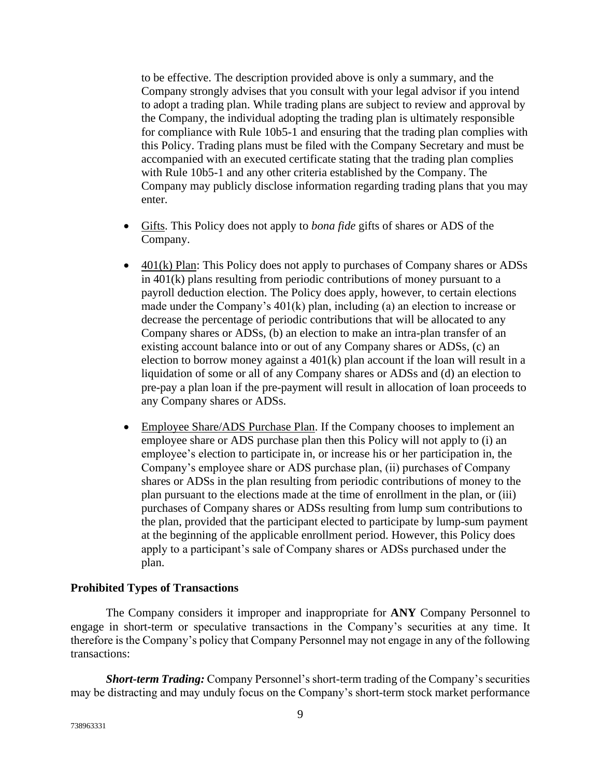to be effective. The description provided above is only a summary, and the Company strongly advises that you consult with your legal advisor if you intend to adopt a trading plan. While trading plans are subject to review and approval by the Company, the individual adopting the trading plan is ultimately responsible for compliance with Rule 10b5-1 and ensuring that the trading plan complies with this Policy. Trading plans must be filed with the Company Secretary and must be accompanied with an executed certificate stating that the trading plan complies with Rule 10b5-1 and any other criteria established by the Company. The Company may publicly disclose information regarding trading plans that you may enter.

- Gifts. This Policy does not apply to *bona fide* gifts of shares or ADS of the Company.
- 401(k) Plan: This Policy does not apply to purchases of Company shares or ADSs in 401(k) plans resulting from periodic contributions of money pursuant to a payroll deduction election. The Policy does apply, however, to certain elections made under the Company's 401(k) plan, including (a) an election to increase or decrease the percentage of periodic contributions that will be allocated to any Company shares or ADSs, (b) an election to make an intra-plan transfer of an existing account balance into or out of any Company shares or ADSs, (c) an election to borrow money against a 401(k) plan account if the loan will result in a liquidation of some or all of any Company shares or ADSs and (d) an election to pre-pay a plan loan if the pre-payment will result in allocation of loan proceeds to any Company shares or ADSs.
- Employee Share/ADS Purchase Plan. If the Company chooses to implement an employee share or ADS purchase plan then this Policy will not apply to (i) an employee's election to participate in, or increase his or her participation in, the Company's employee share or ADS purchase plan, (ii) purchases of Company shares or ADSs in the plan resulting from periodic contributions of money to the plan pursuant to the elections made at the time of enrollment in the plan, or (iii) purchases of Company shares or ADSs resulting from lump sum contributions to the plan, provided that the participant elected to participate by lump-sum payment at the beginning of the applicable enrollment period. However, this Policy does apply to a participant's sale of Company shares or ADSs purchased under the plan.

### **Prohibited Types of Transactions**

The Company considers it improper and inappropriate for **ANY** Company Personnel to engage in short-term or speculative transactions in the Company's securities at any time. It therefore is the Company's policy that Company Personnel may not engage in any of the following transactions:

**Short-term Trading:** Company Personnel's short-term trading of the Company's securities may be distracting and may unduly focus on the Company's short-term stock market performance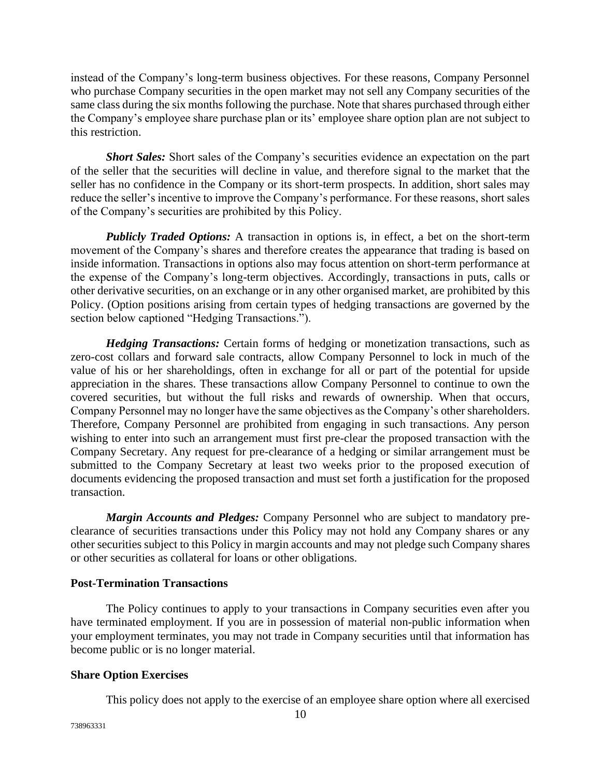instead of the Company's long-term business objectives. For these reasons, Company Personnel who purchase Company securities in the open market may not sell any Company securities of the same class during the six months following the purchase. Note that shares purchased through either the Company's employee share purchase plan or its' employee share option plan are not subject to this restriction.

*Short Sales:* Short sales of the Company's securities evidence an expectation on the part of the seller that the securities will decline in value, and therefore signal to the market that the seller has no confidence in the Company or its short-term prospects. In addition, short sales may reduce the seller's incentive to improve the Company's performance. For these reasons, short sales of the Company's securities are prohibited by this Policy.

*Publicly Traded Options:* A transaction in options is, in effect, a bet on the short-term movement of the Company's shares and therefore creates the appearance that trading is based on inside information. Transactions in options also may focus attention on short-term performance at the expense of the Company's long-term objectives. Accordingly, transactions in puts, calls or other derivative securities, on an exchange or in any other organised market, are prohibited by this Policy. (Option positions arising from certain types of hedging transactions are governed by the section below captioned "Hedging Transactions.").

*Hedging Transactions:* Certain forms of hedging or monetization transactions, such as zero-cost collars and forward sale contracts, allow Company Personnel to lock in much of the value of his or her shareholdings, often in exchange for all or part of the potential for upside appreciation in the shares. These transactions allow Company Personnel to continue to own the covered securities, but without the full risks and rewards of ownership. When that occurs, Company Personnel may no longer have the same objectives as the Company's other shareholders. Therefore, Company Personnel are prohibited from engaging in such transactions. Any person wishing to enter into such an arrangement must first pre-clear the proposed transaction with the Company Secretary. Any request for pre-clearance of a hedging or similar arrangement must be submitted to the Company Secretary at least two weeks prior to the proposed execution of documents evidencing the proposed transaction and must set forth a justification for the proposed transaction.

*Margin Accounts and Pledges:* Company Personnel who are subject to mandatory preclearance of securities transactions under this Policy may not hold any Company shares or any other securities subject to this Policy in margin accounts and may not pledge such Company shares or other securities as collateral for loans or other obligations.

### **Post-Termination Transactions**

The Policy continues to apply to your transactions in Company securities even after you have terminated employment. If you are in possession of material non-public information when your employment terminates, you may not trade in Company securities until that information has become public or is no longer material.

## **Share Option Exercises**

This policy does not apply to the exercise of an employee share option where all exercised